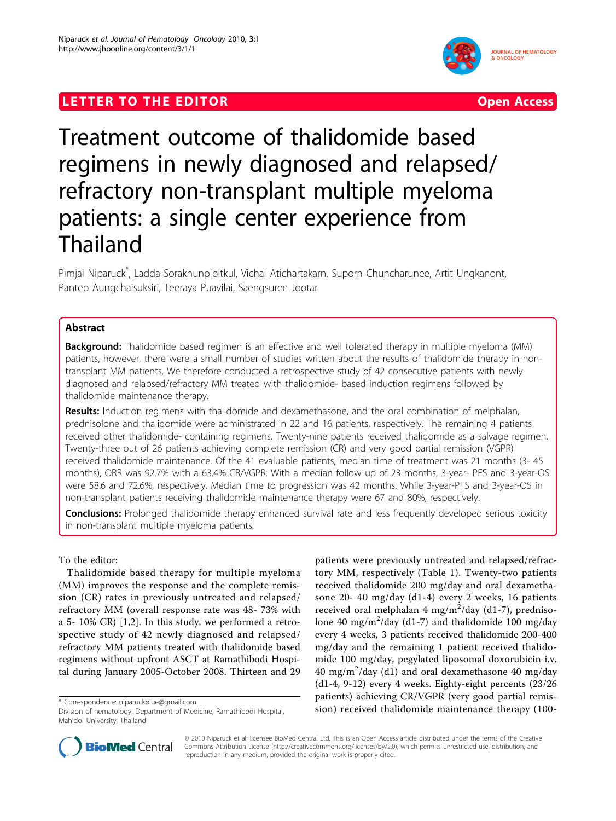# **LETTER TO THE EDITOR CONSIDERING ACCESS**



# Treatment outcome of thalidomide based regimens in newly diagnosed and relapsed/ refractory non-transplant multiple myeloma patients: a single center experience from Thailand

Pimjai Niparuck\* , Ladda Sorakhunpipitkul, Vichai Atichartakarn, Suporn Chuncharunee, Artit Ungkanont, Pantep Aungchaisuksiri, Teeraya Puavilai, Saengsuree Jootar

# Abstract

**Background:** Thalidomide based regimen is an effective and well tolerated therapy in multiple myeloma (MM) patients, however, there were a small number of studies written about the results of thalidomide therapy in nontransplant MM patients. We therefore conducted a retrospective study of 42 consecutive patients with newly diagnosed and relapsed/refractory MM treated with thalidomide- based induction regimens followed by thalidomide maintenance therapy.

Results: Induction regimens with thalidomide and dexamethasone, and the oral combination of melphalan, prednisolone and thalidomide were administrated in 22 and 16 patients, respectively. The remaining 4 patients received other thalidomide- containing regimens. Twenty-nine patients received thalidomide as a salvage regimen. Twenty-three out of 26 patients achieving complete remission (CR) and very good partial remission (VGPR) received thalidomide maintenance. Of the 41 evaluable patients, median time of treatment was 21 months (3- 45 months), ORR was 92.7% with a 63.4% CR/VGPR. With a median follow up of 23 months, 3-year- PFS and 3-year-OS were 58.6 and 72.6%, respectively. Median time to progression was 42 months. While 3-year-PFS and 3-year-OS in non-transplant patients receiving thalidomide maintenance therapy were 67 and 80%, respectively.

**Conclusions:** Prolonged thalidomide therapy enhanced survival rate and less frequently developed serious toxicity in non-transplant multiple myeloma patients.

# To the editor:

Thalidomide based therapy for multiple myeloma (MM) improves the response and the complete remission (CR) rates in previously untreated and relapsed/ refractory MM (overall response rate was 48- 73% with a 5- 10% CR) [[1,2](#page-2-0)]. In this study, we performed a retrospective study of 42 newly diagnosed and relapsed/ refractory MM patients treated with thalidomide based regimens without upfront ASCT at Ramathibodi Hospital during January 2005-October 2008. Thirteen and 29

patients were previously untreated and relapsed/refractory MM, respectively (Table [1](#page-1-0)). Twenty-two patients received thalidomide 200 mg/day and oral dexamethasone 20- 40 mg/day (d1-4) every 2 weeks, 16 patients received oral melphalan  $4 \text{ mg/m}^2/\text{day}$  (d1-7), prednisolone 40 mg/m<sup>2</sup>/day (d1-7) and thalidomide 100 mg/day every 4 weeks, 3 patients received thalidomide 200-400 mg/day and the remaining 1 patient received thalidomide 100 mg/day, pegylated liposomal doxorubicin i.v. 40 mg/m<sup>2</sup> /day (d1) and oral dexamethasone 40 mg/day (d1-4, 9-12) every 4 weeks. Eighty-eight percents (23/26 patients) achieving CR/VGPR (very good partial remission) requestion and the maintenance: [niparuckblue@gmail.com](mailto:niparuckblue@gmail.com) environmental maintenance therapy (100-<br>Division of hematology. Department of Medicine. Ramathibodi Hospital. sion) received thalidomide maintenance therapy (100



© 2010 Niparuck et al; licensee BioMed Central Ltd. This is an Open Access article distributed under the terms of the Creative Commons Attribution License [\(http://creativecommons.org/licenses/by/2.0](http://creativecommons.org/licenses/by/2.0)), which permits unrestricted use, distribution, and reproduction in any medium, provided the original work is properly cited.

Division of hematology, Department of Medicine, Ramathibodi Hospital, Mahidol University, Thailand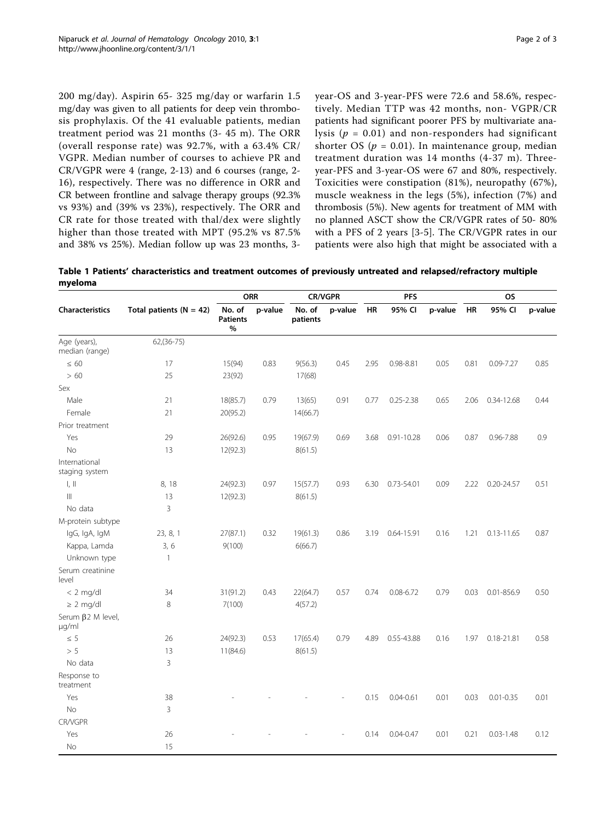<span id="page-1-0"></span>200 mg/day). Aspirin 65- 325 mg/day or warfarin 1.5 mg/day was given to all patients for deep vein thrombosis prophylaxis. Of the 41 evaluable patients, median treatment period was 21 months (3- 45 m). The ORR (overall response rate) was 92.7%, with a 63.4% CR/ VGPR. Median number of courses to achieve PR and CR/VGPR were 4 (range, 2-13) and 6 courses (range, 2- 16), respectively. There was no difference in ORR and CR between frontline and salvage therapy groups (92.3% vs 93%) and (39% vs 23%), respectively. The ORR and CR rate for those treated with thal/dex were slightly higher than those treated with MPT (95.2% vs 87.5% and 38% vs 25%). Median follow up was 23 months, 3year-OS and 3-year-PFS were 72.6 and 58.6%, respectively. Median TTP was 42 months, non- VGPR/CR patients had significant poorer PFS by multivariate analysis ( $p = 0.01$ ) and non-responders had significant shorter OS ( $p = 0.01$ ). In maintenance group, median treatment duration was 14 months (4-37 m). Threeyear-PFS and 3-year-OS were 67 and 80%, respectively. Toxicities were constipation (81%), neuropathy (67%), muscle weakness in the legs (5%), infection (7%) and thrombosis (5%). New agents for treatment of MM with no planned ASCT show the CR/VGPR rates of 50- 80% with a PFS of 2 years [\[3](#page-2-0)-[5\]](#page-2-0). The CR/VGPR rates in our patients were also high that might be associated with a

Table 1 Patients' characteristics and treatment outcomes of previously untreated and relapsed/refractory multiple myeloma

| <b>Characteristics</b>          | Total patients ( $N = 42$ ) | <b>ORR</b>                     |         | <b>CR/VGPR</b>     |         | <b>PFS</b> |                |         | <b>OS</b> |                |         |
|---------------------------------|-----------------------------|--------------------------------|---------|--------------------|---------|------------|----------------|---------|-----------|----------------|---------|
|                                 |                             | No. of<br><b>Patients</b><br>% | p-value | No. of<br>patients | p-value | <b>HR</b>  | 95% CI         | p-value | HR        | 95% CI         | p-value |
| Age (years),<br>median (range)  | $62,(36-75)$                |                                |         |                    |         |            |                |         |           |                |         |
| $\leq 60$                       | 17                          | 15(94)                         | 0.83    | 9(56.3)            | 0.45    | 2.95       | 0.98-8.81      | 0.05    | 0.81      | $0.09 - 7.27$  | 0.85    |
| >60                             | 25                          | 23(92)                         |         | 17(68)             |         |            |                |         |           |                |         |
| Sex                             |                             |                                |         |                    |         |            |                |         |           |                |         |
| Male                            | 21                          | 18(85.7)                       | 0.79    | 13(65)             | 0.91    | 0.77       | $0.25 - 2.38$  | 0.65    | 2.06      | 0.34-12.68     | 0.44    |
| Female                          | 21                          | 20(95.2)                       |         | 14(66.7)           |         |            |                |         |           |                |         |
| Prior treatment                 |                             |                                |         |                    |         |            |                |         |           |                |         |
| Yes                             | 29                          | 26(92.6)                       | 0.95    | 19(67.9)           | 0.69    | 3.68       | $0.91 - 10.28$ | 0.06    | 0.87      | $0.96 - 7.88$  | 0.9     |
| <b>No</b>                       | 13                          | 12(92.3)                       |         | 8(61.5)            |         |            |                |         |           |                |         |
| International<br>staging system |                             |                                |         |                    |         |            |                |         |           |                |         |
| $\parallel$ , $\parallel$       | 8, 18                       | 24(92.3)                       | 0.97    | 15(57.7)           | 0.93    | 6.30       | 0.73-54.01     | 0.09    | 2.22      | $0.20 - 24.57$ | 0.51    |
| $\parallel$                     | 13                          | 12(92.3)                       |         | 8(61.5)            |         |            |                |         |           |                |         |
| No data                         | $\overline{3}$              |                                |         |                    |         |            |                |         |           |                |         |
| M-protein subtype               |                             |                                |         |                    |         |            |                |         |           |                |         |
| IgG, IgA, IgM                   | 23, 8, 1                    | 27(87.1)                       | 0.32    | 19(61.3)           | 0.86    | 3.19       | 0.64-15.91     | 0.16    | 1.21      | $0.13 - 11.65$ | 0.87    |
| Kappa, Lamda                    | 3, 6                        | 9(100)                         |         | 6(66.7)            |         |            |                |         |           |                |         |
| Unknown type                    | 1                           |                                |         |                    |         |            |                |         |           |                |         |
| Serum creatinine<br>level       |                             |                                |         |                    |         |            |                |         |           |                |         |
| $< 2$ mg/dl                     | 34                          | 31(91.2)                       | 0.43    | 22(64.7)           | 0.57    | 0.74       | $0.08 - 6.72$  | 0.79    | 0.03      | 0.01-856.9     | 0.50    |
| $\geq 2$ mg/dl                  | 8                           | 7(100)                         |         | 4(57.2)            |         |            |                |         |           |                |         |
| Serum β2 M level,<br>$\mu q/ml$ |                             |                                |         |                    |         |            |                |         |           |                |         |
| $\leq 5$                        | 26                          | 24(92.3)                       | 0.53    | 17(65.4)           | 0.79    | 4.89       | 0.55-43.88     | 0.16    | 1.97      | $0.18 - 21.81$ | 0.58    |
| > 5                             | 13                          | 11(84.6)                       |         | 8(61.5)            |         |            |                |         |           |                |         |
| No data                         | 3                           |                                |         |                    |         |            |                |         |           |                |         |
| Response to<br>treatment        |                             |                                |         |                    |         |            |                |         |           |                |         |
| Yes                             | 38                          |                                |         |                    |         | 0.15       | $0.04 - 0.61$  | 0.01    | 0.03      | $0.01 - 0.35$  | 0.01    |
| <b>No</b>                       | $\overline{3}$              |                                |         |                    |         |            |                |         |           |                |         |
| CR/VGPR                         |                             |                                |         |                    |         |            |                |         |           |                |         |
| Yes                             | 26                          |                                |         |                    |         | 0.14       | $0.04 - 0.47$  | 0.01    | 0.21      | $0.03 - 1.48$  | 0.12    |
| No                              | 15                          |                                |         |                    |         |            |                |         |           |                |         |